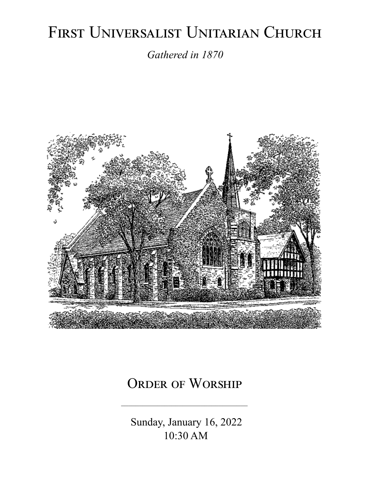# FIRST UNIVERSALIST UNITARIAN CHURCH

*Gathered in 1870*



## ORDER OF WORSHIP

 Sunday, January 16, 2022 10:30 AM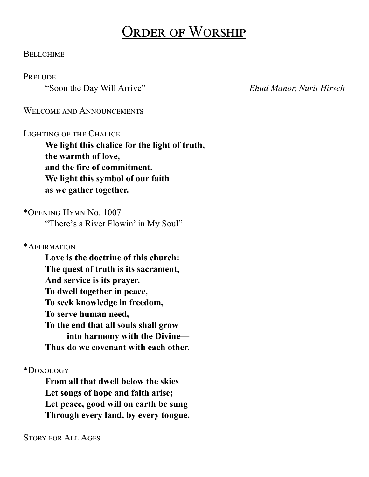## Order of Worship

#### **BELLCHIME**

#### **PRELUDE**

"Soon the Day Will Arrive" *Ehud Manor, Nurit Hirsch*

WELCOME AND ANNOUNCEMENTS

#### LIGHTING OF THE CHALICE

**We light this chalice for the light of truth, the warmth of love, and the fire of commitment. We light this symbol of our faith as we gather together.**

\*Opening Hymn No. 1007 "There's a River Flowin' in My Soul"

\*Affirmation

**Love is the doctrine of this church: The quest of truth is its sacrament, And service is its prayer. To dwell together in peace, To seek knowledge in freedom, To serve human need, To the end that all souls shall grow into harmony with the Divine— Thus do we covenant with each other.**

\*Doxology

**From all that dwell below the skies Let songs of hope and faith arise; Let peace, good will on earth be sung Through every land, by every tongue.**

Story for All Ages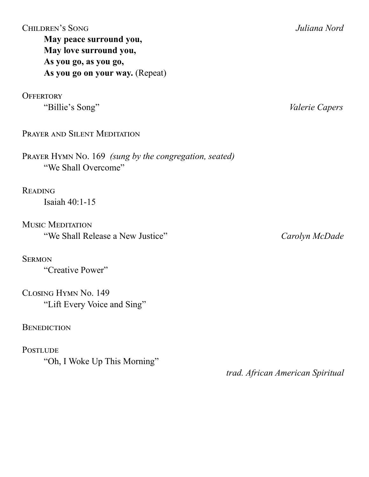| перием э рото           |  |
|-------------------------|--|
| May peace surround you, |  |
| May love surround you,  |  |
| As you go, as you go,   |  |

## **As you go on your way.** (Repeat)

**OFFERTORY** "Billie's Song" *Valerie Capers*

PRAYER AND SILENT MEDITATION

Prayer Hymn No. 169 *(sung by the congregation, seated)* "We Shall Overcome"

**READING** 

Isaiah 40:1-15

Music Meditation "We Shall Release a New Justice" *Carolyn McDade*

**SERMON** 

"Creative Power"

Closing Hymn No. 149 "Lift Every Voice and Sing"

#### **BENEDICTION**

**POSTLUDE** "Oh, I Woke Up This Morning"

 *trad. African American Spiritual*